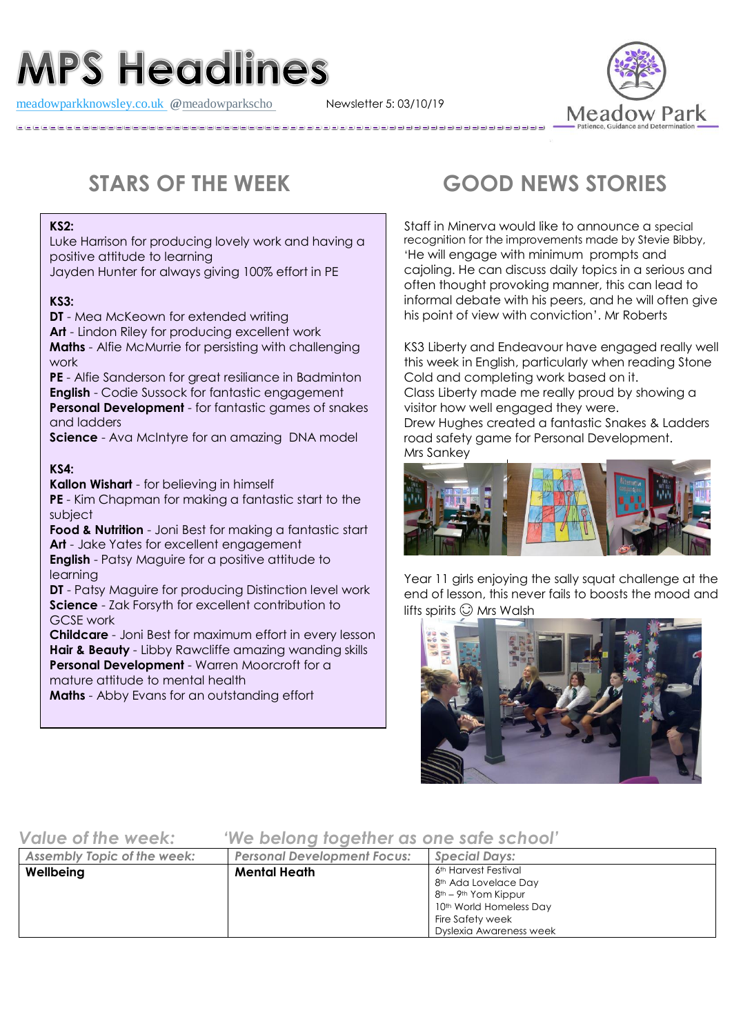# **MPS Headlines**

[meadowparkknowsley.co.uk](https://t.co/znDDto23ds) **@**[meadowparkscho](https://twitter.com/meadowparkscho) Newsletter 5: 03/10/19



### **KS2:**

Luke Harrison for producing lovely work and having a positive attitude to learning

Jayden Hunter for always giving 100% effort in PE

## **KS3:**

**DT** - Mea McKeown for extended writing **Art** - Lindon Riley for producing excellent work **Maths** - Alfie McMurrie for persisting with challenging work **PE** - Alfie Sanderson for great resiliance in Badminton **English** - Codie Sussock for fantastic engagement

**Personal Development** - for fantastic games of snakes and ladders

**Science** - Ava McIntyre for an amazing DNA model

# **KS4:**

**Kallon Wishart** - for believing in himself

**PE** - Kim Chapman for making a fantastic start to the subject

**Food & Nutrition** - Joni Best for making a fantastic start **Art** - Jake Yates for excellent engagement

**English** - Patsy Maguire for a positive attitude to learning

**DT** - Patsy Maguire for producing Distinction level work **Science** - Zak Forsyth for excellent contribution to GCSE work

**Childcare** - Joni Best for maximum effort in every lesson **Hair & Beauty** - Libby Rawcliffe amazing wanding skills **Personal Development** - Warren Moorcroft for a mature attitude to mental health

**Maths** - Abby Evans for an outstanding effort

# **STARS OF THE WEEK GOOD NEWS STORIES**

<sup>S</sup>taff in Minerva would like to announce a special recognition for the improvements made by Stevie Bibby, 'He will engage with minimum prompts and cajoling. He can discuss daily topics in a serious and often thought provoking manner, this can lead to informal debate with his peers, and he will often give his point of view with conviction'. Mr Roberts

KS3 Liberty and Endeavour have engaged really well this week in English, particularly when reading Stone Cold and completing work based on it. Class Liberty made me really proud by showing a visitor how well engaged they were. Drew Hughes created a fantastic Snakes & Ladders road safety game for Personal Development. Mrs Sankey



Year 11 girls enjoying the sally squat challenge at the end of lesson, this never fails to boosts the mood and lifts spirits  $\odot$  Mrs Walsh



# *Value of the week: 'We belong together as one safe school'*

| <b>Assembly Topic of the week:</b> | <b>Personal Development Focus:</b> | <b>Special Days:</b>                                                                                                                                                                           |
|------------------------------------|------------------------------------|------------------------------------------------------------------------------------------------------------------------------------------------------------------------------------------------|
| Wellbeing                          | <b>Mental Heath</b>                | 6th Harvest Festival<br>8 <sup>th</sup> Ada Lovelace Day<br>8 <sup>th</sup> – 9 <sup>th</sup> Yom Kippur<br>10 <sup>th</sup> World Homeless Day<br>Fire Safety week<br>Dyslexia Awareness week |